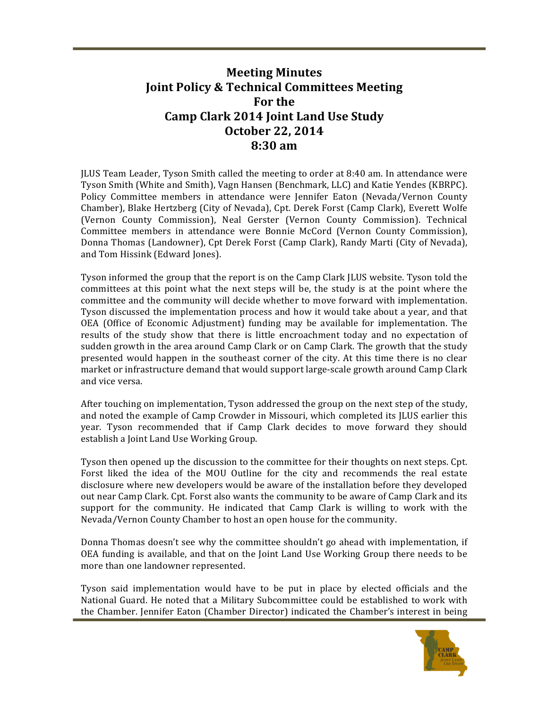## **Meeting Minutes Joint Policy & Technical Committees Meeting For the Camp Clark 2014 Joint Land Use Study October 22, 2014 8:30 am**

JLUS Team Leader, Tyson Smith called the meeting to order at 8:40 am. In attendance were Tyson Smith (White and Smith), Vagn Hansen (Benchmark, LLC) and Katie Yendes (KBRPC). Policy Committee members in attendance were Jennifer Eaton (Nevada/Vernon County Chamber), Blake Hertzberg (City of Nevada), Cpt. Derek Forst (Camp Clark), Everett Wolfe (Vernon County Commission), Neal Gerster (Vernon County Commission). Technical Committee members in attendance were Bonnie McCord (Vernon County Commission), Donna Thomas (Landowner), Cpt Derek Forst (Camp Clark), Randy Marti (City of Nevada), and Tom Hissink (Edward Jones).

Tyson informed the group that the report is on the Camp Clark *JLUS* website. Tyson told the committees at this point what the next steps will be, the study is at the point where the committee and the community will decide whether to move forward with implementation. Tyson discussed the implementation process and how it would take about a year, and that OEA (Office of Economic Adjustment) funding may be available for implementation. The results of the study show that there is little encroachment today and no expectation of sudden growth in the area around Camp Clark or on Camp Clark. The growth that the study presented would happen in the southeast corner of the city. At this time there is no clear market or infrastructure demand that would support large-scale growth around Camp Clark and vice versa.

After touching on implementation, Tyson addressed the group on the next step of the study, and noted the example of Camp Crowder in Missouri, which completed its ILUS earlier this year. Tyson recommended that if Camp Clark decides to move forward they should establish a Joint Land Use Working Group.

Tyson then opened up the discussion to the committee for their thoughts on next steps. Cpt. Forst liked the idea of the MOU Outline for the city and recommends the real estate disclosure where new developers would be aware of the installation before they developed out near Camp Clark. Cpt. Forst also wants the community to be aware of Camp Clark and its support for the community. He indicated that Camp Clark is willing to work with the Nevada/Vernon County Chamber to host an open house for the community.

Donna Thomas doesn't see why the committee shouldn't go ahead with implementation, if OEA funding is available, and that on the Joint Land Use Working Group there needs to be more than one landowner represented.

Tyson said implementation would have to be put in place by elected officials and the National Guard. He noted that a Military Subcommittee could be established to work with the Chamber. Jennifer Eaton (Chamber Director) indicated the Chamber's interest in being